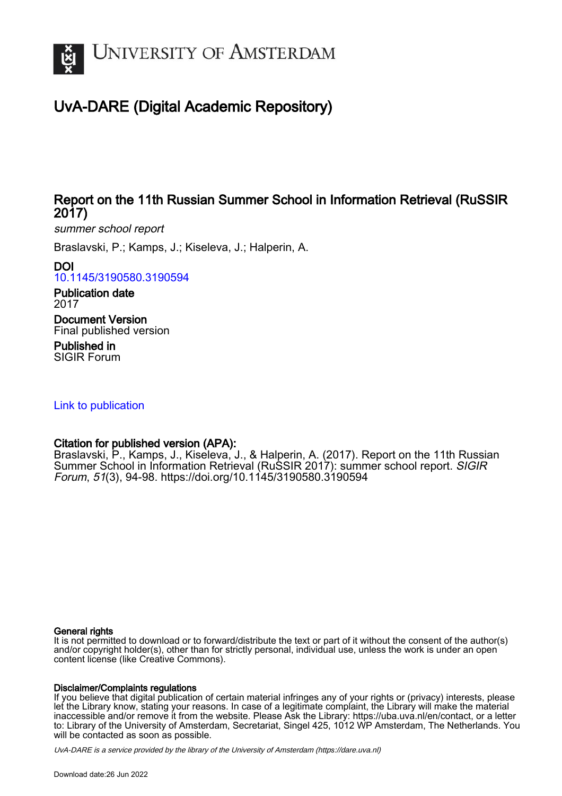

### UvA-DARE (Digital Academic Repository)

### Report on the 11th Russian Summer School in Information Retrieval (RuSSIR 2017)

summer school report

Braslavski, P.; Kamps, J.; Kiseleva, J.; Halperin, A.

#### DOI

[10.1145/3190580.3190594](https://doi.org/10.1145/3190580.3190594)

Publication date 2017

Document Version Final published version

Published in SIGIR Forum

#### [Link to publication](https://dare.uva.nl/personal/pure/en/publications/report-on-the-11th-russian-summer-school-in-information-retrieval-russir-2017(1b3f2f97-d651-4056-a69b-68d4ddb8a3a4).html)

#### Citation for published version (APA):

Braslavski, P., Kamps, J., Kiseleva, J., & Halperin, A. (2017). Report on the 11th Russian Summer School in Information Retrieval (RuSSIR 2017): summer school report. SIGIR Forum, 51(3), 94-98.<https://doi.org/10.1145/3190580.3190594>

#### General rights

It is not permitted to download or to forward/distribute the text or part of it without the consent of the author(s) and/or copyright holder(s), other than for strictly personal, individual use, unless the work is under an open content license (like Creative Commons).

#### Disclaimer/Complaints regulations

If you believe that digital publication of certain material infringes any of your rights or (privacy) interests, please let the Library know, stating your reasons. In case of a legitimate complaint, the Library will make the material inaccessible and/or remove it from the website. Please Ask the Library: https://uba.uva.nl/en/contact, or a letter to: Library of the University of Amsterdam, Secretariat, Singel 425, 1012 WP Amsterdam, The Netherlands. You will be contacted as soon as possible.

UvA-DARE is a service provided by the library of the University of Amsterdam (http*s*://dare.uva.nl)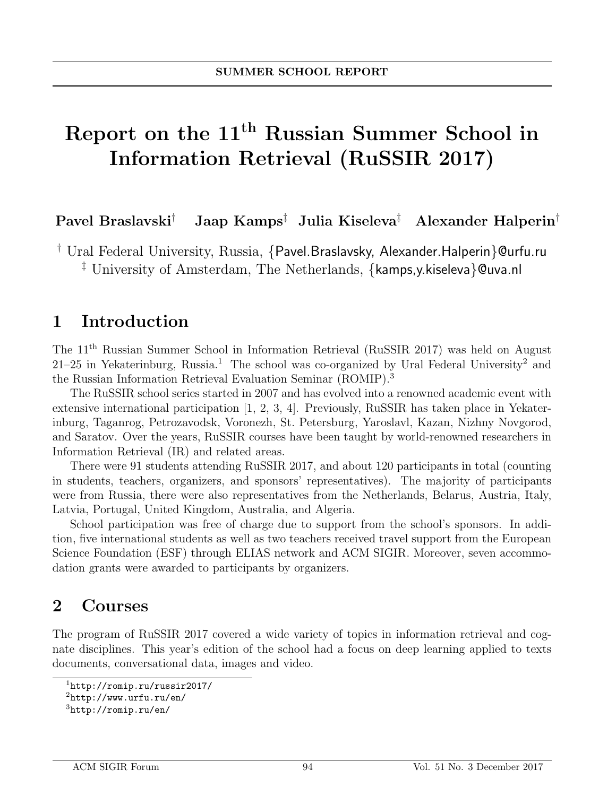# Report on the 11th Russian Summer School in Information Retrieval (RuSSIR 2017)

Pavel Braslavski† Jaap Kamps‡ Julia Kiseleva‡ Alexander Halperin†

† Ural Federal University, Russia, {Pavel.Braslavsky, Alexander.Halperin}@urfu.ru ‡ University of Amsterdam, The Netherlands, {kamps,y.kiseleva}@uva.nl

### 1 Introduction

The 11th Russian Summer School in Information Retrieval (RuSSIR 2017) was held on August 21–25 in Yekaterinburg, Russia.<sup>1</sup> The school was co-organized by Ural Federal University<sup>2</sup> and the Russian Information Retrieval Evaluation Seminar (ROMIP).<sup>3</sup>

The RuSSIR school series started in 2007 and has evolved into a renowned academic event with extensive international participation [1, 2, 3, 4]. Previously, RuSSIR has taken place in Yekaterinburg, Taganrog, Petrozavodsk, Voronezh, St. Petersburg, Yaroslavl, Kazan, Nizhny Novgorod, and Saratov. Over the years, RuSSIR courses have been taught by world-renowned researchers in Information Retrieval (IR) and related areas.

There were 91 students attending RuSSIR 2017, and about 120 participants in total (counting in students, teachers, organizers, and sponsors' representatives). The majority of participants were from Russia, there were also representatives from the Netherlands, Belarus, Austria, Italy, Latvia, Portugal, United Kingdom, Australia, and Algeria.

School participation was free of charge due to support from the school's sponsors. In addition, five international students as well as two teachers received travel support from the European Science Foundation (ESF) through ELIAS network and ACM SIGIR. Moreover, seven accommodation grants were awarded to participants by organizers.

### 2 Courses

The program of RuSSIR 2017 covered a wide variety of topics in information retrieval and cognate disciplines. This year's edition of the school had a focus on deep learning applied to texts documents, conversational data, images and video.

<sup>1</sup>http://romip.ru/russir2017/

 $^{2}$ http://www.urfu.ru/en/

 $3$ http://romip.ru/en/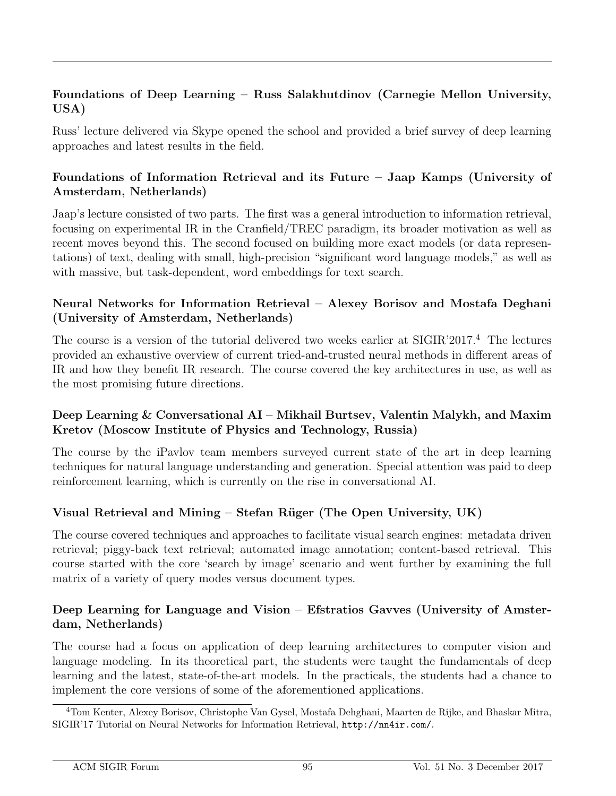### Foundations of Deep Learning – Russ Salakhutdinov (Carnegie Mellon University, USA)

Russ' lecture delivered via Skype opened the school and provided a brief survey of deep learning approaches and latest results in the field.

### Foundations of Information Retrieval and its Future – Jaap Kamps (University of Amsterdam, Netherlands)

Jaap's lecture consisted of two parts. The first was a general introduction to information retrieval, focusing on experimental IR in the Cranfield/TREC paradigm, its broader motivation as well as recent moves beyond this. The second focused on building more exact models (or data representations) of text, dealing with small, high-precision "significant word language models," as well as with massive, but task-dependent, word embeddings for text search.

#### Neural Networks for Information Retrieval – Alexey Borisov and Mostafa Deghani (University of Amsterdam, Netherlands)

The course is a version of the tutorial delivered two weeks earlier at SIGIR'2017.<sup>4</sup> The lectures provided an exhaustive overview of current tried-and-trusted neural methods in different areas of IR and how they benefit IR research. The course covered the key architectures in use, as well as the most promising future directions.

#### Deep Learning & Conversational AI – Mikhail Burtsev, Valentin Malykh, and Maxim Kretov (Moscow Institute of Physics and Technology, Russia)

The course by the iPavlov team members surveyed current state of the art in deep learning techniques for natural language understanding and generation. Special attention was paid to deep reinforcement learning, which is currently on the rise in conversational AI.

### Visual Retrieval and Mining – Stefan Rüger (The Open University,  $UK$ )

The course covered techniques and approaches to facilitate visual search engines: metadata driven retrieval; piggy-back text retrieval; automated image annotation; content-based retrieval. This course started with the core 'search by image' scenario and went further by examining the full matrix of a variety of query modes versus document types.

#### Deep Learning for Language and Vision – Efstratios Gavves (University of Amsterdam, Netherlands)

The course had a focus on application of deep learning architectures to computer vision and language modeling. In its theoretical part, the students were taught the fundamentals of deep learning and the latest, state-of-the-art models. In the practicals, the students had a chance to implement the core versions of some of the aforementioned applications.

<sup>4</sup>Tom Kenter, Alexey Borisov, Christophe Van Gysel, Mostafa Dehghani, Maarten de Rijke, and Bhaskar Mitra, SIGIR'17 Tutorial on Neural Networks for Information Retrieval, http://nn4ir.com/.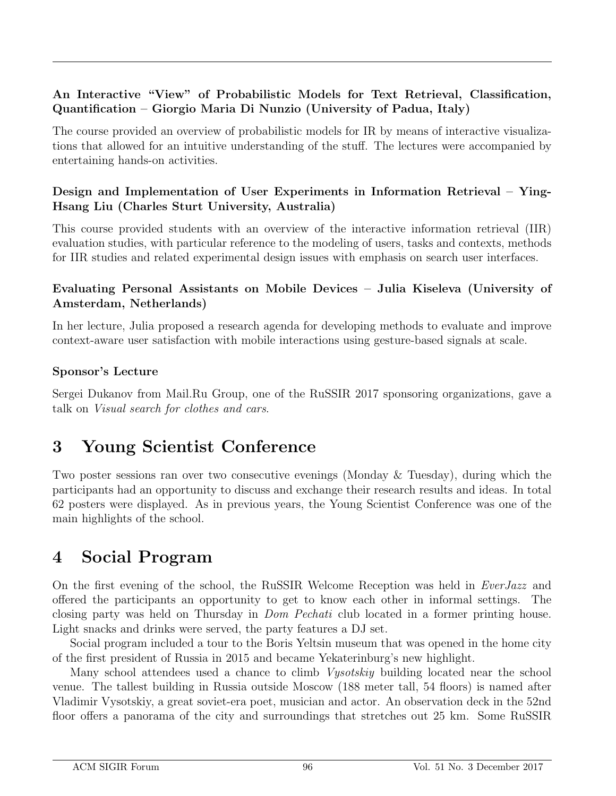#### An Interactive "View" of Probabilistic Models for Text Retrieval, Classification, Quantification – Giorgio Maria Di Nunzio (University of Padua, Italy)

The course provided an overview of probabilistic models for IR by means of interactive visualizations that allowed for an intuitive understanding of the stuff. The lectures were accompanied by entertaining hands-on activities.

#### Design and Implementation of User Experiments in Information Retrieval – Ying-Hsang Liu (Charles Sturt University, Australia)

This course provided students with an overview of the interactive information retrieval (IIR) evaluation studies, with particular reference to the modeling of users, tasks and contexts, methods for IIR studies and related experimental design issues with emphasis on search user interfaces.

#### Evaluating Personal Assistants on Mobile Devices – Julia Kiseleva (University of Amsterdam, Netherlands)

In her lecture, Julia proposed a research agenda for developing methods to evaluate and improve context-aware user satisfaction with mobile interactions using gesture-based signals at scale.

#### Sponsor's Lecture

Sergei Dukanov from Mail.Ru Group, one of the RuSSIR 2017 sponsoring organizations, gave a talk on Visual search for clothes and cars.

### 3 Young Scientist Conference

Two poster sessions ran over two consecutive evenings (Monday & Tuesday), during which the participants had an opportunity to discuss and exchange their research results and ideas. In total 62 posters were displayed. As in previous years, the Young Scientist Conference was one of the main highlights of the school.

### 4 Social Program

On the first evening of the school, the RuSSIR Welcome Reception was held in EverJazz and offered the participants an opportunity to get to know each other in informal settings. The closing party was held on Thursday in Dom Pechati club located in a former printing house. Light snacks and drinks were served, the party features a DJ set.

Social program included a tour to the Boris Yeltsin museum that was opened in the home city of the first president of Russia in 2015 and became Yekaterinburg's new highlight.

Many school attendees used a chance to climb *Vysotskiy* building located near the school venue. The tallest building in Russia outside Moscow (188 meter tall, 54 floors) is named after Vladimir Vysotskiy, a great soviet-era poet, musician and actor. An observation deck in the 52nd floor offers a panorama of the city and surroundings that stretches out 25 km. Some RuSSIR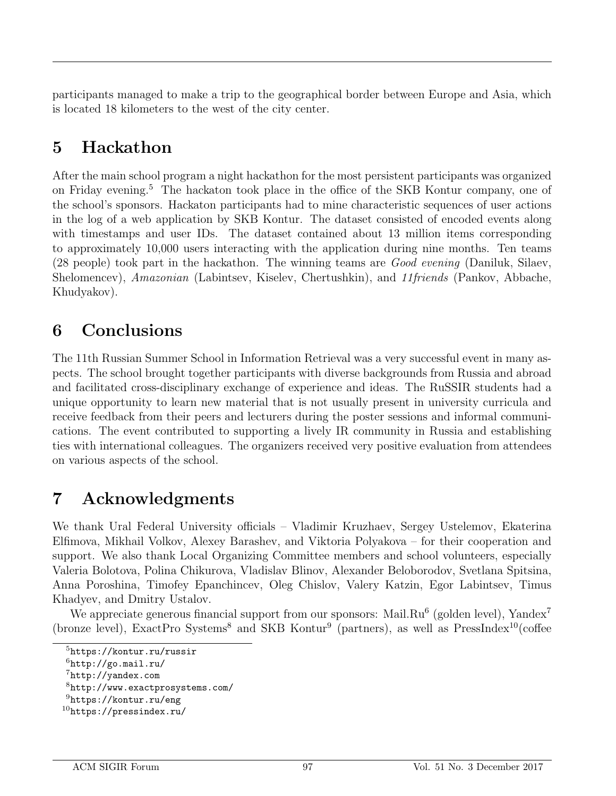participants managed to make a trip to the geographical border between Europe and Asia, which is located 18 kilometers to the west of the city center.

## 5 Hackathon

After the main school program a night hackathon for the most persistent participants was organized on Friday evening.<sup>5</sup> The hackaton took place in the office of the SKB Kontur company, one of the school's sponsors. Hackaton participants had to mine characteristic sequences of user actions in the log of a web application by SKB Kontur. The dataset consisted of encoded events along with timestamps and user IDs. The dataset contained about 13 million items corresponding to approximately 10,000 users interacting with the application during nine months. Ten teams (28 people) took part in the hackathon. The winning teams are *Good evening* (Daniluk, Silaev, Shelomencev), Amazonian (Labintsev, Kiselev, Chertushkin), and 11friends (Pankov, Abbache, Khudyakov).

## 6 Conclusions

The 11th Russian Summer School in Information Retrieval was a very successful event in many aspects. The school brought together participants with diverse backgrounds from Russia and abroad and facilitated cross-disciplinary exchange of experience and ideas. The RuSSIR students had a unique opportunity to learn new material that is not usually present in university curricula and receive feedback from their peers and lecturers during the poster sessions and informal communications. The event contributed to supporting a lively IR community in Russia and establishing ties with international colleagues. The organizers received very positive evaluation from attendees on various aspects of the school.

## 7 Acknowledgments

We thank Ural Federal University officials – Vladimir Kruzhaev, Sergey Ustelemov, Ekaterina Elfimova, Mikhail Volkov, Alexey Barashev, and Viktoria Polyakova – for their cooperation and support. We also thank Local Organizing Committee members and school volunteers, especially Valeria Bolotova, Polina Chikurova, Vladislav Blinov, Alexander Beloborodov, Svetlana Spitsina, Anna Poroshina, Timofey Epanchincev, Oleg Chislov, Valery Katzin, Egor Labintsev, Timus Khadyev, and Dmitry Ustalov.

We appreciate generous financial support from our sponsors: Mail.Ru<sup>6</sup> (golden level), Yandex<sup>7</sup> (bronze level), ExactPro Systems<sup>8</sup> and SKB Kontur<sup>9</sup> (partners), as well as PressIndex<sup>10</sup>(coffee

<sup>5</sup>https://kontur.ru/russir

 $^6$ http://go.mail.ru/

<sup>7</sup>http://yandex.com

<sup>8</sup>http://www.exactprosystems.com/

<sup>9</sup>https://kontur.ru/eng

 $10$ https://pressindex.ru/